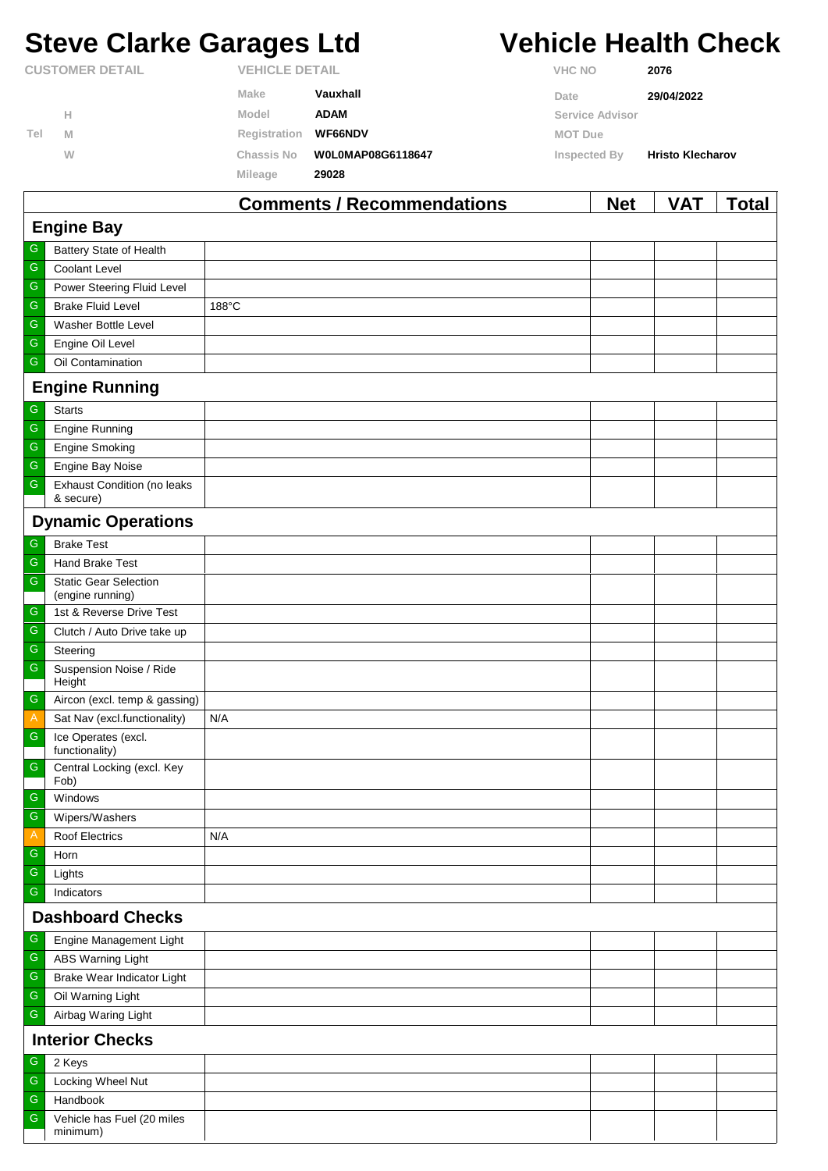# **Steve Clarke Garages Ltd Vehicle Health Check**

|                        |   |                       | Commonts / Recommondations | <b>Not</b>      | <b>VAT</b>              | Total |
|------------------------|---|-----------------------|----------------------------|-----------------|-------------------------|-------|
|                        |   | Mileage               | 29028                      |                 |                         |       |
|                        | W | <b>Chassis No</b>     | W0L0MAP08G6118647          | Inspected By    | <b>Hristo Klecharov</b> |       |
| Tel                    | M | Registration          | <b>WF66NDV</b>             | <b>MOT Due</b>  |                         |       |
|                        | Н | Model                 | <b>ADAM</b>                | Service Advisor |                         |       |
|                        |   | Make                  | Vauxhall                   | Date            | 29/04/2022              |       |
| <b>CUSTOMER DETAIL</b> |   | <b>VEHICLE DETAIL</b> |                            | <b>VHC NO</b>   | 2076                    |       |

|                         |                                                  | Comments / Recommendations | <b>NGL</b> | <b>VAI</b> | <u>i</u> otal |  |  |  |
|-------------------------|--------------------------------------------------|----------------------------|------------|------------|---------------|--|--|--|
| <b>Engine Bay</b>       |                                                  |                            |            |            |               |  |  |  |
| G                       | Battery State of Health                          |                            |            |            |               |  |  |  |
| ${\mathsf G}$           | <b>Coolant Level</b>                             |                            |            |            |               |  |  |  |
| G                       | Power Steering Fluid Level                       |                            |            |            |               |  |  |  |
| ${\mathsf G}$           | <b>Brake Fluid Level</b>                         | 188°C                      |            |            |               |  |  |  |
| G                       | Washer Bottle Level                              |                            |            |            |               |  |  |  |
| G                       | Engine Oil Level                                 |                            |            |            |               |  |  |  |
| G                       | Oil Contamination                                |                            |            |            |               |  |  |  |
|                         | <b>Engine Running</b>                            |                            |            |            |               |  |  |  |
| G                       | <b>Starts</b>                                    |                            |            |            |               |  |  |  |
| ${\mathsf G}$           | <b>Engine Running</b>                            |                            |            |            |               |  |  |  |
| ${\mathsf G}$           | <b>Engine Smoking</b>                            |                            |            |            |               |  |  |  |
| G                       | Engine Bay Noise                                 |                            |            |            |               |  |  |  |
| G                       | <b>Exhaust Condition (no leaks</b><br>& secure)  |                            |            |            |               |  |  |  |
|                         | <b>Dynamic Operations</b>                        |                            |            |            |               |  |  |  |
| G                       | <b>Brake Test</b>                                |                            |            |            |               |  |  |  |
| ${\mathsf G}$           | <b>Hand Brake Test</b>                           |                            |            |            |               |  |  |  |
| ${\mathsf G}$           | <b>Static Gear Selection</b><br>(engine running) |                            |            |            |               |  |  |  |
| G                       | 1st & Reverse Drive Test                         |                            |            |            |               |  |  |  |
| ${\mathsf G}$           | Clutch / Auto Drive take up                      |                            |            |            |               |  |  |  |
| ${\mathsf G}$           | Steering                                         |                            |            |            |               |  |  |  |
| ${\mathsf G}$           | Suspension Noise / Ride<br>Height                |                            |            |            |               |  |  |  |
| ${\mathsf G}$           | Aircon (excl. temp & gassing)                    |                            |            |            |               |  |  |  |
| $\overline{A}$          | Sat Nav (excl.functionality)                     | N/A                        |            |            |               |  |  |  |
| G                       | Ice Operates (excl.<br>functionality)            |                            |            |            |               |  |  |  |
| ${\mathsf G}$           | Central Locking (excl. Key<br>Fob)               |                            |            |            |               |  |  |  |
| G                       | Windows                                          |                            |            |            |               |  |  |  |
| G                       | Wipers/Washers                                   |                            |            |            |               |  |  |  |
| A                       | <b>Roof Electrics</b>                            | N/A                        |            |            |               |  |  |  |
| G                       | Horn                                             |                            |            |            |               |  |  |  |
| G                       | Lights                                           |                            |            |            |               |  |  |  |
| G                       | Indicators                                       |                            |            |            |               |  |  |  |
| <b>Dashboard Checks</b> |                                                  |                            |            |            |               |  |  |  |
| G                       | Engine Management Light                          |                            |            |            |               |  |  |  |
| G                       | <b>ABS Warning Light</b>                         |                            |            |            |               |  |  |  |
| G                       | Brake Wear Indicator Light                       |                            |            |            |               |  |  |  |
| ${\mathsf G}$           | Oil Warning Light                                |                            |            |            |               |  |  |  |
| ${\mathsf G}$           | Airbag Waring Light                              |                            |            |            |               |  |  |  |
| <b>Interior Checks</b>  |                                                  |                            |            |            |               |  |  |  |
| G                       | 2 Keys                                           |                            |            |            |               |  |  |  |
| ${\mathsf G}$           | Locking Wheel Nut                                |                            |            |            |               |  |  |  |
| ${\mathsf G}$           | Handbook                                         |                            |            |            |               |  |  |  |
| G                       | Vehicle has Fuel (20 miles<br>minimum)           |                            |            |            |               |  |  |  |